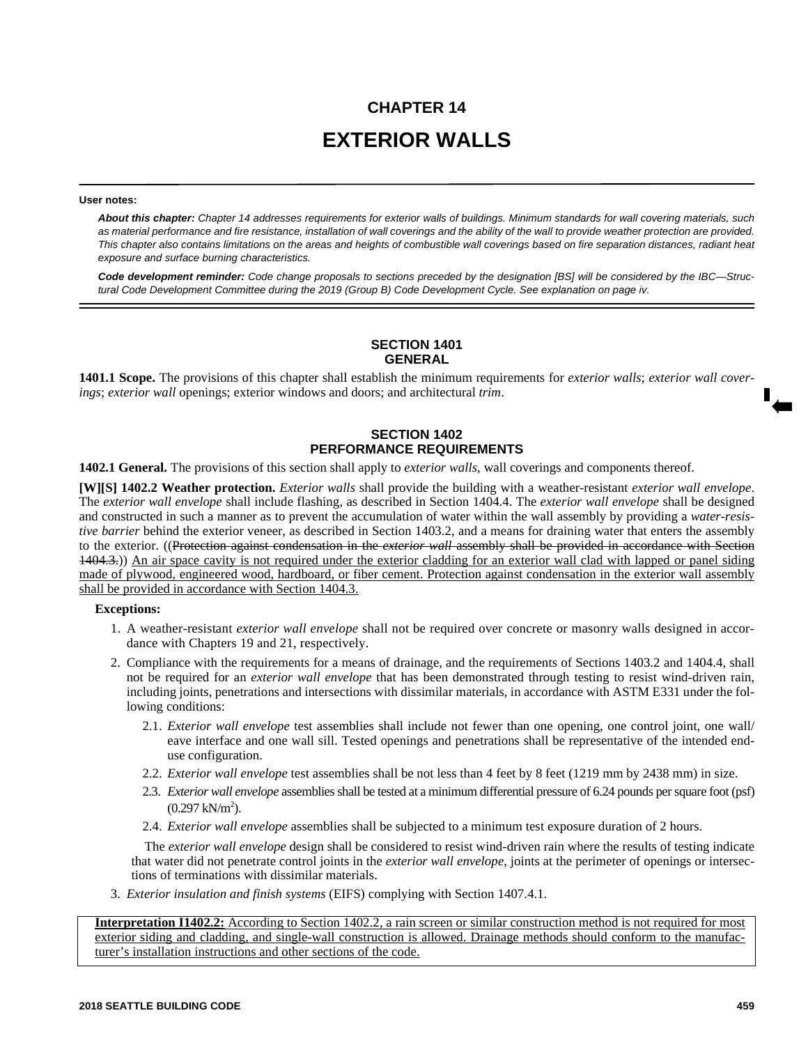# **CHAPTER 14 EXTERIOR WALLS**

#### **User notes:**

*About this chapter: Chapter 14 addresses requirements for exterior walls of buildings. Minimum standards for wall covering materials, such as material performance and fire resistance, installation of wall coverings and the ability of the wall to provide weather protection are provided. This chapter also contains limitations on the areas and heights of combustible wall coverings based on fire separation distances, radiant heat exposure and surface burning characteristics.* 

*Code development reminder: Code change proposals to sections preceded by the designation [BS] will be considered by the IBC—Structural Code Development Committee during the 2019 (Group B) Code Development Cycle. See explanation on page iv.*

# **SECTION 1401 GENERAL**

**1401.1 Scope.** The provisions of this chapter shall establish the minimum requirements for *exterior walls*; *exterior wall coverings*; *exterior wall* openings; exterior windows and doors; and architectural *trim*.

## **SECTION 1402 PERFORMANCE REQUIREMENTS**

**1402.1 General.** The provisions of this section shall apply to *exterior walls*, wall coverings and components thereof.

**[W][S] 1402.2 Weather protection.** *Exterior walls* shall provide the building with a weather-resistant *exterior wall envelope*. The *exterior wall envelope* shall include flashing, as described in Section 1404.4. The *exterior wall envelope* shall be designed and constructed in such a manner as to prevent the accumulation of water within the wall assembly by providing a *water-resistive barrier* behind the exterior veneer, as described in Section 1403.2, and a means for draining water that enters the assembly to the exterior. ((Protection against condensation in the *exterior wall* assembly shall be provided in accordance with Section 1404.3.)) An air space cavity is not required under the exterior cladding for an exterior wall clad with lapped or panel siding made of plywood, engineered wood, hardboard, or fiber cement. Protection against condensation in the exterior wall assembly shall be provided in accordance with Section 1404.3.

#### **Exceptions:**

- 1. A weather-resistant *exterior wall envelope* shall not be required over concrete or masonry walls designed in accordance with Chapters 19 and 21, respectively.
- 2. Compliance with the requirements for a means of drainage, and the requirements of Sections 1403.2 and 1404.4, shall not be required for an *exterior wall envelope* that has been demonstrated through testing to resist wind-driven rain, including joints, penetrations and intersections with dissimilar materials, in accordance with ASTM E331 under the following conditions:
	- 2.1. *Exterior wall envelope* test assemblies shall include not fewer than one opening, one control joint, one wall/ eave interface and one wall sill. Tested openings and penetrations shall be representative of the intended enduse configuration.
	- 2.2. *Exterior wall envelope* test assemblies shall be not less than 4 feet by 8 feet (1219 mm by 2438 mm) in size.
	- 2.3. *Exterior wall envelope* assemblies shall be tested at a minimum differential pressure of 6.24 pounds per square foot (psf)  $(0.297 \text{ kN/m}^2).$
	- 2.4. *Exterior wall envelope* assemblies shall be subjected to a minimum test exposure duration of 2 hours.

The *exterior wall envelope* design shall be considered to resist wind-driven rain where the results of testing indicate that water did not penetrate control joints in the *exterior wall envelope*, joints at the perimeter of openings or intersections of terminations with dissimilar materials.

3. *Exterior insulation and finish systems* (EIFS) complying with Section 1407.4.1.

**Interpretation I1402.2:** According to Section 1402.2, a rain screen or similar construction method is not required for most exterior siding and cladding, and single-wall construction is allowed. Drainage methods should conform to the manufacturer's installation instructions and other sections of the code.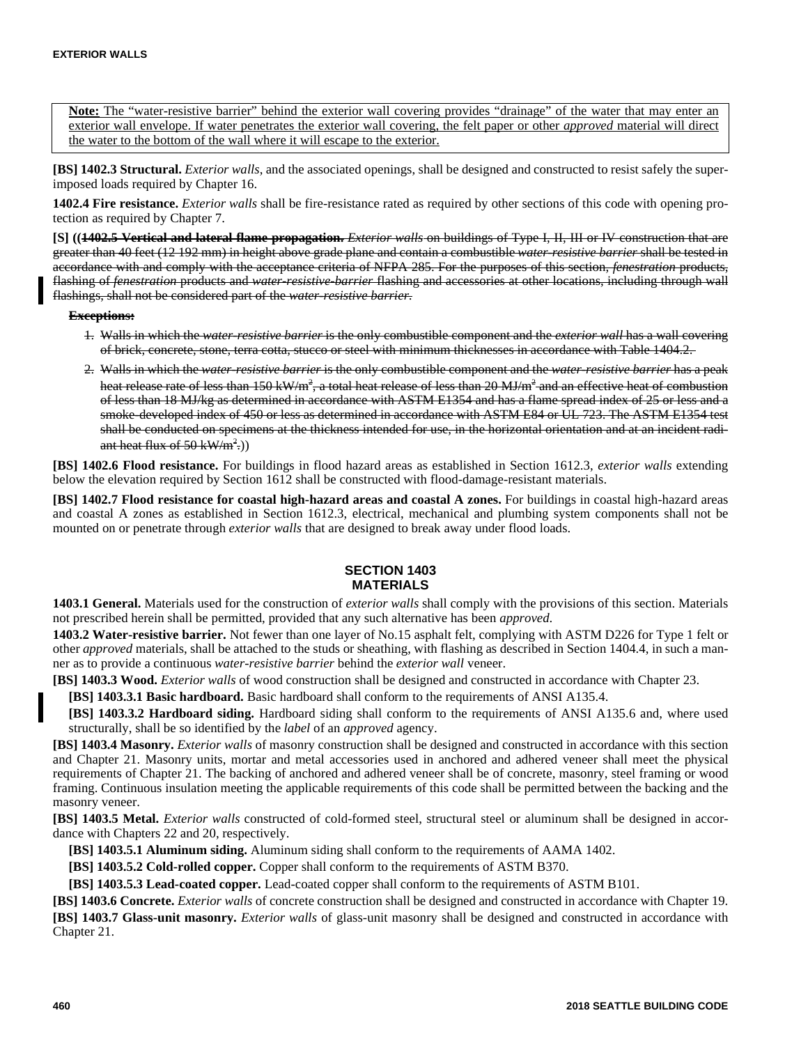**Note:** The "water-resistive barrier" behind the exterior wall covering provides "drainage" of the water that may enter an exterior wall envelope. If water penetrates the exterior wall covering, the felt paper or other *approved* material will direct the water to the bottom of the wall where it will escape to the exterior.

**[BS] 1402.3 Structural.** *Exterior walls*, and the associated openings, shall be designed and constructed to resist safely the superimposed loads required by Chapter 16.

**1402.4 Fire resistance.** *Exterior walls* shall be fire-resistance rated as required by other sections of this code with opening protection as required by Chapter 7.

**[S] ((1402.5 Vertical and lateral flame propagation.** *Exterior walls* on buildings of Type I, II, III or IV construction that are greater than 40 feet (12 192 mm) in height above grade plane and contain a combustible *water-resistive barrier* shall be tested in accordance with and comply with the acceptance criteria of NFPA 285. For the purposes of this section, *fenestration* products, flashing of *fenestration* products and *water-resistive-barrier* flashing and accessories at other locations, including through wall flashings, shall not be considered part of the *water-resistive barrier*.

#### **Exceptions:**

- 1. Walls in which the *water-resistive barrier* is the only combustible component and the *exterior wall* has a wall covering of brick, concrete, stone, terra cotta, stucco or steel with minimum thicknesses in accordance with Table 1404.2.
- 2. Walls in which the *water-resistive barrier* is the only combustible component and the *water-resistive barrier* has a peak heat release rate of less than 150 kW/m<sup>2</sup>, a total heat release of less than 20 MJ/m<sup>2</sup> and an effective heat of combustion of less than 18 MJ/kg as determined in accordance with ASTM E1354 and has a flame spread index of 25 or less and a smoke-developed index of 450 or less as determined in accordance with ASTM E84 or UL 723. The ASTM E1354 test shall be conducted on specimens at the thickness intended for use, in the horizontal orientation and at an incident radiant heat flux of 50 kW/m<sup>2</sup>.))

**[BS] 1402.6 Flood resistance.** For buildings in flood hazard areas as established in Section 1612.3, *exterior walls* extending below the elevation required by Section 1612 shall be constructed with flood-damage-resistant materials.

**[BS] 1402.7 Flood resistance for coastal high-hazard areas and coastal A zones.** For buildings in coastal high-hazard areas and coastal A zones as established in Section 1612.3, electrical, mechanical and plumbing system components shall not be mounted on or penetrate through *exterior walls* that are designed to break away under flood loads.

## **SECTION 1403 MATERIALS**

**1403.1 General.** Materials used for the construction of *exterior walls* shall comply with the provisions of this section. Materials not prescribed herein shall be permitted, provided that any such alternative has been *approved*.

**1403.2 Water-resistive barrier.** Not fewer than one layer of No.15 asphalt felt, complying with ASTM D226 for Type 1 felt or other *approved* materials, shall be attached to the studs or sheathing, with flashing as described in Section 1404.4, in such a manner as to provide a continuous *water-resistive barrier* behind the *exterior wall* veneer.

**[BS] 1403.3 Wood.** *Exterior walls* of wood construction shall be designed and constructed in accordance with Chapter 23.

**[BS] 1403.3.1 Basic hardboard.** Basic hardboard shall conform to the requirements of ANSI A135.4.

**[BS] 1403.3.2 Hardboard siding.** Hardboard siding shall conform to the requirements of ANSI A135.6 and, where used structurally, shall be so identified by the *label* of an *approved* agency.

**[BS] 1403.4 Masonry.** *Exterior walls* of masonry construction shall be designed and constructed in accordance with this section and Chapter 21. Masonry units, mortar and metal accessories used in anchored and adhered veneer shall meet the physical requirements of Chapter 21. The backing of anchored and adhered veneer shall be of concrete, masonry, steel framing or wood framing. Continuous insulation meeting the applicable requirements of this code shall be permitted between the backing and the masonry veneer.

**[BS] 1403.5 Metal.** *Exterior walls* constructed of cold-formed steel, structural steel or aluminum shall be designed in accordance with Chapters 22 and 20, respectively.

**[BS] 1403.5.1 Aluminum siding.** Aluminum siding shall conform to the requirements of AAMA 1402.

**[BS] 1403.5.2 Cold-rolled copper.** Copper shall conform to the requirements of ASTM B370.

**[BS] 1403.5.3 Lead-coated copper.** Lead-coated copper shall conform to the requirements of ASTM B101.

**[BS] 1403.6 Concrete.** *Exterior walls* of concrete construction shall be designed and constructed in accordance with Chapter 19. **[BS] 1403.7 Glass-unit masonry.** *Exterior walls* of glass-unit masonry shall be designed and constructed in accordance with Chapter 21.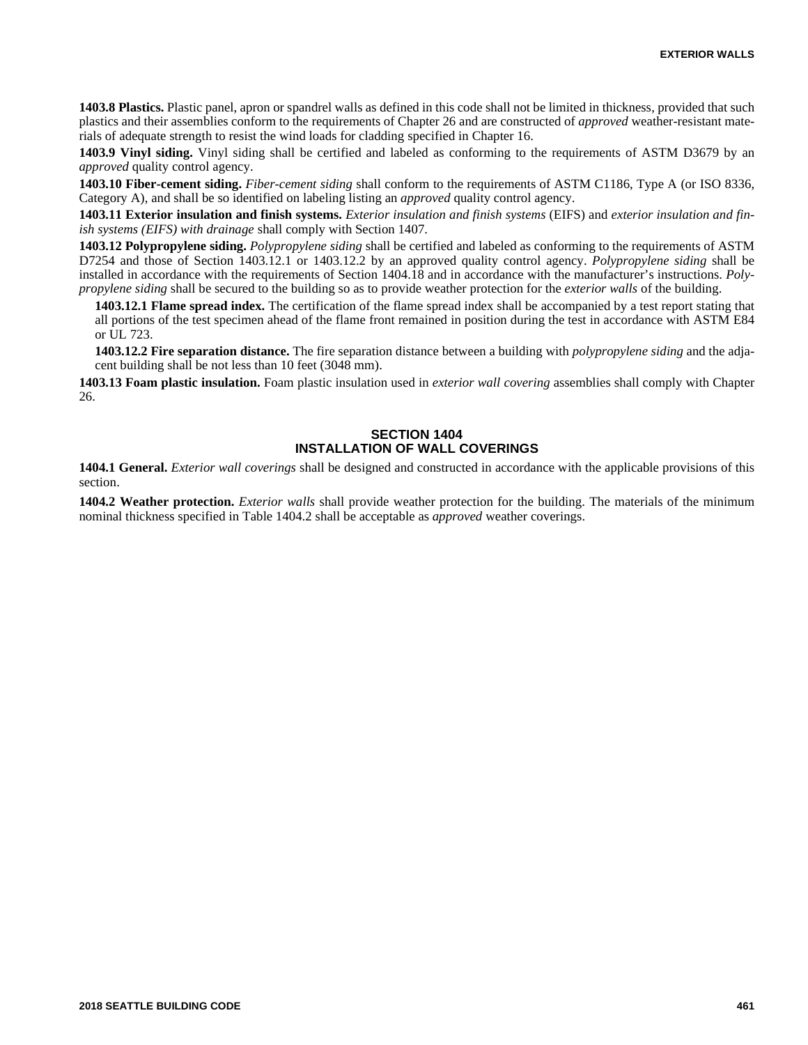**1403.8 Plastics.** Plastic panel, apron or spandrel walls as defined in this code shall not be limited in thickness, provided that such plastics and their assemblies conform to the requirements of Chapter 26 and are constructed of *approved* weather-resistant materials of adequate strength to resist the wind loads for cladding specified in Chapter 16.

**1403.9 Vinyl siding.** Vinyl siding shall be certified and labeled as conforming to the requirements of ASTM D3679 by an *approved* quality control agency.

**1403.10 Fiber-cement siding.** *Fiber-cement siding* shall conform to the requirements of ASTM C1186, Type A (or ISO 8336, Category A), and shall be so identified on labeling listing an *approved* quality control agency.

**1403.11 Exterior insulation and finish systems.** *Exterior insulation and finish systems* (EIFS) and *exterior insulation and finish systems (EIFS) with drainage* shall comply with Section 1407.

**1403.12 Polypropylene siding.** *Polypropylene siding* shall be certified and labeled as conforming to the requirements of ASTM D7254 and those of Section 1403.12.1 or 1403.12.2 by an approved quality control agency. *Polypropylene siding* shall be installed in accordance with the requirements of Section 1404.18 and in accordance with the manufacturer's instructions. *Polypropylene siding* shall be secured to the building so as to provide weather protection for the *exterior walls* of the building.

**1403.12.1 Flame spread index.** The certification of the flame spread index shall be accompanied by a test report stating that all portions of the test specimen ahead of the flame front remained in position during the test in accordance with ASTM E84 or UL 723.

**1403.12.2 Fire separation distance.** The fire separation distance between a building with *polypropylene siding* and the adjacent building shall be not less than 10 feet (3048 mm).

**1403.13 Foam plastic insulation.** Foam plastic insulation used in *exterior wall covering* assemblies shall comply with Chapter 26.

### **SECTION 1404 INSTALLATION OF WALL COVERINGS**

**1404.1 General.** *Exterior wall coverings* shall be designed and constructed in accordance with the applicable provisions of this section.

**1404.2 Weather protection.** *Exterior walls* shall provide weather protection for the building. The materials of the minimum nominal thickness specified in Table 1404.2 shall be acceptable as *approved* weather coverings.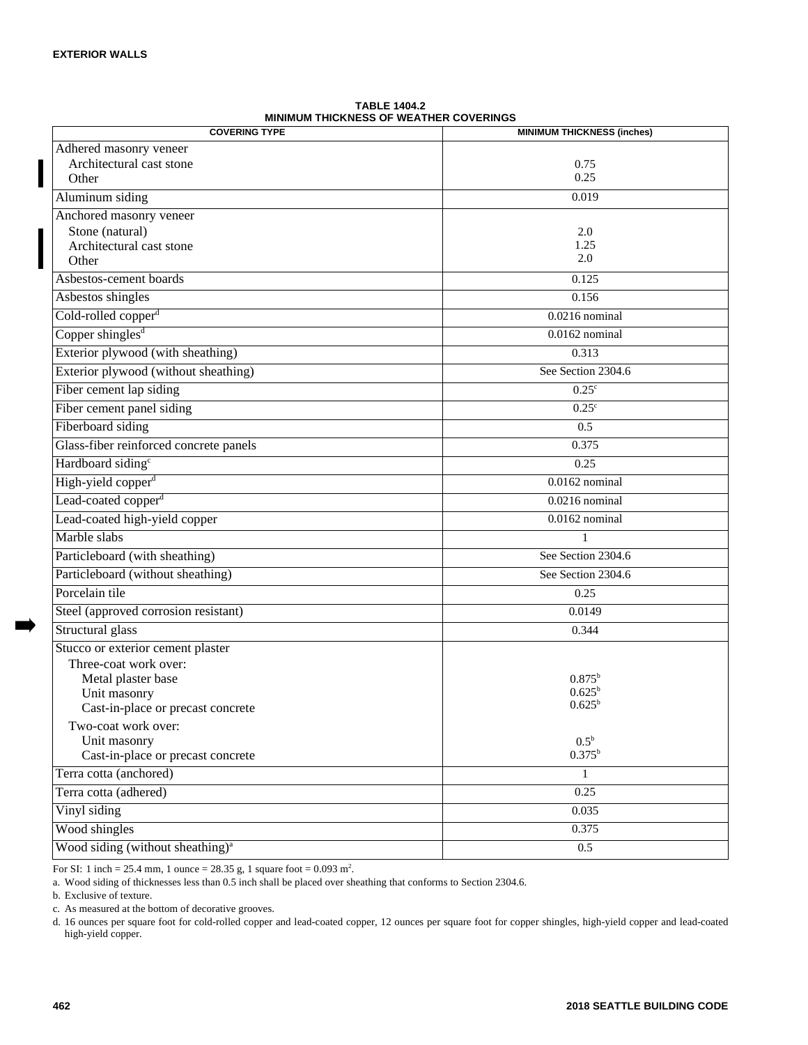| <b>COVERING TYPE</b>                         | <b>MINIMUM THICKNESS (inches)</b> |
|----------------------------------------------|-----------------------------------|
| Adhered masonry veneer                       |                                   |
| Architectural cast stone                     | 0.75                              |
| Other                                        | 0.25                              |
| Aluminum siding                              | 0.019                             |
| Anchored masonry veneer                      |                                   |
| Stone (natural)                              | 2.0                               |
| Architectural cast stone                     | 1.25                              |
| Other                                        | 2.0                               |
| Asbestos-cement boards                       | 0.125                             |
| Asbestos shingles                            | 0.156                             |
| Cold-rolled copper <sup>d</sup>              | $0.0216$ nominal                  |
| Copper shingles $d$                          | $0.0162$ nominal                  |
| Exterior plywood (with sheathing)            | 0.313                             |
| Exterior plywood (without sheathing)         | See Section 2304.6                |
| Fiber cement lap siding                      | $0.25^{\circ}$                    |
| Fiber cement panel siding                    | $0.25^{\circ}$                    |
| Fiberboard siding                            | 0.5                               |
| Glass-fiber reinforced concrete panels       | 0.375                             |
| Hardboard siding <sup>c</sup>                | 0.25                              |
| High-yield copper <sup>d</sup>               | $0.0162$ nominal                  |
| Lead-coated copper <sup>d</sup>              | $0.0216$ nominal                  |
| Lead-coated high-yield copper                | $0.0162$ nominal                  |
| Marble slabs                                 | 1                                 |
| Particleboard (with sheathing)               | See Section 2304.6                |
| Particleboard (without sheathing)            | See Section 2304.6                |
| Porcelain tile                               | 0.25                              |
| Steel (approved corrosion resistant)         | 0.0149                            |
| Structural glass                             | 0.344                             |
| Stucco or exterior cement plaster            |                                   |
| Three-coat work over:                        |                                   |
| Metal plaster base                           | $0.875^{\rm b}$                   |
| Unit masonry                                 | $0.625^{\rm b}$                   |
| Cast-in-place or precast concrete            | $0.625^{\rm b}$                   |
| Two-coat work over:                          |                                   |
| Unit masonry                                 | $0.5^{\rm b}$                     |
| Cast-in-place or precast concrete            | $0.375^{b}$                       |
| Terra cotta (anchored)                       | $\mathbf{1}$                      |
| Terra cotta (adhered)                        | 0.25                              |
| Vinyl siding                                 | 0.035                             |
| Wood shingles                                | 0.375                             |
| Wood siding (without sheathing) <sup>a</sup> | 0.5                               |

**TABLE 1404.2 MINIMUM THICKNESS OF WEATHER COVERINGS**

For SI: 1 inch = 25.4 mm, 1 ounce = 28.35 g, 1 square foot =  $0.093$  m<sup>2</sup>.

a. Wood siding of thicknesses less than 0.5 inch shall be placed over sheathing that conforms to Section 2304.6.

b. Exclusive of texture.

c. As measured at the bottom of decorative grooves.

d. 16 ounces per square foot for cold-rolled copper and lead-coated copper, 12 ounces per square foot for copper shingles, high-yield copper and lead-coated high-yield copper.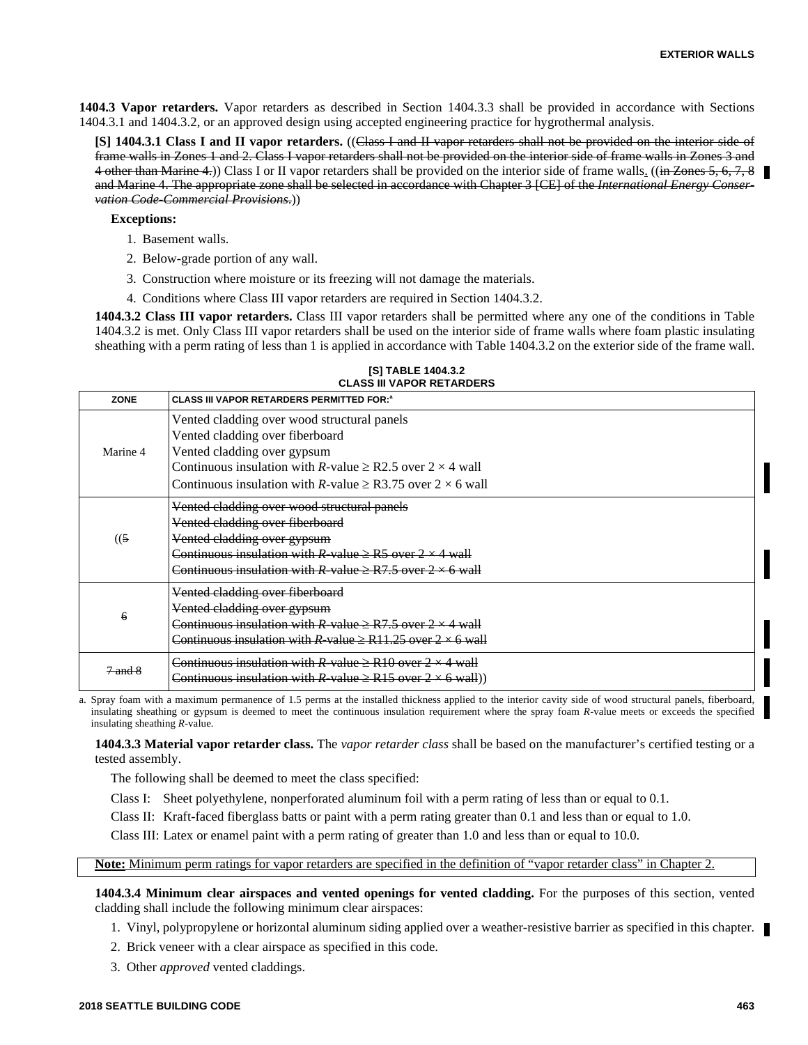**1404.3 Vapor retarders.** Vapor retarders as described in Section 1404.3.3 shall be provided in accordance with Sections 1404.3.1 and 1404.3.2, or an approved design using accepted engineering practice for hygrothermal analysis.

**[S] 1404.3.1 Class I and II vapor retarders.** ((Class I and II vapor retarders shall not be provided on the interior side of frame walls in Zones 1 and 2. Class I vapor retarders shall not be provided on the interior side of frame walls in Zones 3 and 4 other than Marine 4.) Class I or II vapor retarders shall be provided on the interior side of frame walls. ((in Zones 5, 6, 7, 8 and Marine 4. The appropriate zone shall be selected in accordance with Chapter 3 [CE] of the *International Energy Conservation Code-Commercial Provisions*.))

**Exceptions:**

- 1. Basement walls.
- 2. Below-grade portion of any wall.
- 3. Construction where moisture or its freezing will not damage the materials.
- 4. Conditions where Class III vapor retarders are required in Section 1404.3.2.

**1404.3.2 Class III vapor retarders.** Class III vapor retarders shall be permitted where any one of the conditions in Table 1404.3.2 is met. Only Class III vapor retarders shall be used on the interior side of frame walls where foam plastic insulating sheathing with a perm rating of less than 1 is applied in accordance with Table 1404.3.2 on the exterior side of the frame wall.

| <b>ZONE</b> | <b>CLASS III VAPOR RETARDERS PERMITTED FOR:</b> <sup>8</sup>                                                                                                                                                                                                             |
|-------------|--------------------------------------------------------------------------------------------------------------------------------------------------------------------------------------------------------------------------------------------------------------------------|
| Marine 4    | Vented cladding over wood structural panels<br>Vented cladding over fiberboard<br>Vented cladding over gypsum<br>Continuous insulation with R-value $\geq$ R2.5 over 2 $\times$ 4 wall<br>Continuous insulation with R-value $\geq$ R3.75 over 2 $\times$ 6 wall         |
| (5)         | Vented cladding over wood structural panels<br>Vented cladding over fiberboard<br><del>Vented cladding over gypsum</del><br>Continuous insulation with R-value $\geq$ R5 over 2 $\times$ 4 wall<br>Continuous insulation with R-value $\geq$ R7.5 over 2 $\times$ 6 wall |
| 6           | Vented cladding over fiberboard<br>Vented cladding over gypsum<br>Continuous insulation with R value $\geq$ R7.5 over 2 $\times$ 4 wall<br>Continuous insulation with R value $\geq$ R11.25 over 2 $\times$ 6 wall                                                       |
| $7$ and $8$ | Continuous insulation with R-value $\geq$ R10 over 2 $\times$ 4 wall<br>Continuous insulation with R-value $\geq$ R15 over 2 $\times$ 6 wall))                                                                                                                           |

**[S] TABLE 1404.3.2 CLASS III VAPOR RETARDERS**

a. Spray foam with a maximum permanence of 1.5 perms at the installed thickness applied to the interior cavity side of wood structural panels, fiberboard, insulating sheathing or gypsum is deemed to meet the continuous insulation requirement where the spray foam *R*-value meets or exceeds the specified insulating sheathing *R*-value.

**1404.3.3 Material vapor retarder class.** The *vapor retarder class* shall be based on the manufacturer's certified testing or a tested assembly.

The following shall be deemed to meet the class specified:

Class I: Sheet polyethylene, nonperforated aluminum foil with a perm rating of less than or equal to 0.1.

Class II: Kraft-faced fiberglass batts or paint with a perm rating greater than 0.1 and less than or equal to 1.0.

Class III: Latex or enamel paint with a perm rating of greater than 1.0 and less than or equal to 10.0.

**Note:** Minimum perm ratings for vapor retarders are specified in the definition of "vapor retarder class" in Chapter 2.

**1404.3.4 Minimum clear airspaces and vented openings for vented cladding.** For the purposes of this section, vented cladding shall include the following minimum clear airspaces:

- 1. Vinyl, polypropylene or horizontal aluminum siding applied over a weather-resistive barrier as specified in this chapter.
- 2. Brick veneer with a clear airspace as specified in this code.
- 3. Other *approved* vented claddings.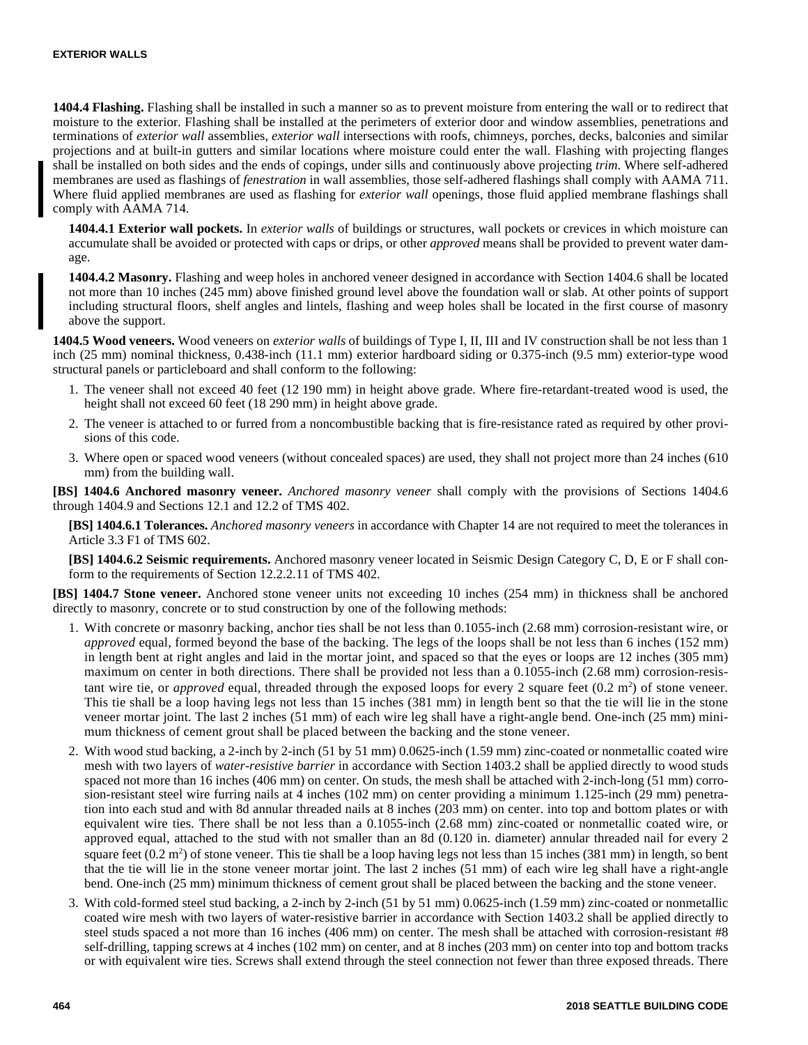**1404.4 Flashing.** Flashing shall be installed in such a manner so as to prevent moisture from entering the wall or to redirect that moisture to the exterior. Flashing shall be installed at the perimeters of exterior door and window assemblies, penetrations and terminations of *exterior wall* assemblies, *exterior wall* intersections with roofs, chimneys, porches, decks, balconies and similar projections and at built-in gutters and similar locations where moisture could enter the wall. Flashing with projecting flanges shall be installed on both sides and the ends of copings, under sills and continuously above projecting *trim*. Where self-adhered membranes are used as flashings of *fenestration* in wall assemblies, those self-adhered flashings shall comply with AAMA 711. Where fluid applied membranes are used as flashing for *exterior wall* openings, those fluid applied membrane flashings shall comply with AAMA 714.

**1404.4.1 Exterior wall pockets.** In *exterior walls* of buildings or structures, wall pockets or crevices in which moisture can accumulate shall be avoided or protected with caps or drips, or other *approved* means shall be provided to prevent water damage.

**1404.4.2 Masonry.** Flashing and weep holes in anchored veneer designed in accordance with Section 1404.6 shall be located not more than 10 inches (245 mm) above finished ground level above the foundation wall or slab. At other points of support including structural floors, shelf angles and lintels, flashing and weep holes shall be located in the first course of masonry above the support.

**1404.5 Wood veneers.** Wood veneers on *exterior walls* of buildings of Type I, II, III and IV construction shall be not less than 1 inch (25 mm) nominal thickness, 0.438-inch (11.1 mm) exterior hardboard siding or 0.375-inch (9.5 mm) exterior-type wood structural panels or particleboard and shall conform to the following:

- 1. The veneer shall not exceed 40 feet (12 190 mm) in height above grade. Where fire-retardant-treated wood is used, the height shall not exceed 60 feet (18 290 mm) in height above grade.
- 2. The veneer is attached to or furred from a noncombustible backing that is fire-resistance rated as required by other provisions of this code.
- 3. Where open or spaced wood veneers (without concealed spaces) are used, they shall not project more than 24 inches (610 mm) from the building wall.

**[BS] 1404.6 Anchored masonry veneer.** *Anchored masonry veneer* shall comply with the provisions of Sections 1404.6 through 1404.9 and Sections 12.1 and 12.2 of TMS 402.

**[BS] 1404.6.1 Tolerances.** *Anchored masonry veneers* in accordance with Chapter 14 are not required to meet the tolerances in Article 3.3 F1 of TMS 602.

**[BS] 1404.6.2 Seismic requirements.** Anchored masonry veneer located in Seismic Design Category C, D, E or F shall conform to the requirements of Section 12.2.2.11 of TMS 402.

**[BS] 1404.7 Stone veneer.** Anchored stone veneer units not exceeding 10 inches (254 mm) in thickness shall be anchored directly to masonry, concrete or to stud construction by one of the following methods:

- 1. With concrete or masonry backing, anchor ties shall be not less than 0.1055-inch (2.68 mm) corrosion-resistant wire, or *approved* equal, formed beyond the base of the backing. The legs of the loops shall be not less than 6 inches (152 mm) in length bent at right angles and laid in the mortar joint, and spaced so that the eyes or loops are 12 inches (305 mm) maximum on center in both directions. There shall be provided not less than a 0.1055-inch (2.68 mm) corrosion-resistant wire tie, or *approved* equal, threaded through the exposed loops for every 2 square feet  $(0.2 \text{ m}^2)$  of stone veneer. This tie shall be a loop having legs not less than 15 inches (381 mm) in length bent so that the tie will lie in the stone veneer mortar joint. The last 2 inches (51 mm) of each wire leg shall have a right-angle bend. One-inch (25 mm) minimum thickness of cement grout shall be placed between the backing and the stone veneer.
- 2. With wood stud backing, a 2-inch by 2-inch (51 by 51 mm) 0.0625-inch (1.59 mm) zinc-coated or nonmetallic coated wire mesh with two layers of *water-resistive barrier* in accordance with Section 1403.2 shall be applied directly to wood studs spaced not more than 16 inches (406 mm) on center. On studs, the mesh shall be attached with 2-inch-long (51 mm) corrosion-resistant steel wire furring nails at 4 inches (102 mm) on center providing a minimum 1.125-inch (29 mm) penetration into each stud and with 8d annular threaded nails at 8 inches (203 mm) on center. into top and bottom plates or with equivalent wire ties. There shall be not less than a 0.1055-inch (2.68 mm) zinc-coated or nonmetallic coated wire, or approved equal, attached to the stud with not smaller than an 8d (0.120 in. diameter) annular threaded nail for every 2 square feet  $(0.2 \text{ m}^2)$  of stone veneer. This tie shall be a loop having legs not less than 15 inches  $(381 \text{ mm})$  in length, so bent that the tie will lie in the stone veneer mortar joint. The last 2 inches (51 mm) of each wire leg shall have a right-angle bend. One-inch (25 mm) minimum thickness of cement grout shall be placed between the backing and the stone veneer.
- 3. With cold-formed steel stud backing, a 2-inch by 2-inch (51 by 51 mm) 0.0625-inch (1.59 mm) zinc-coated or nonmetallic coated wire mesh with two layers of water-resistive barrier in accordance with Section 1403.2 shall be applied directly to steel studs spaced a not more than 16 inches (406 mm) on center. The mesh shall be attached with corrosion-resistant #8 self-drilling, tapping screws at 4 inches (102 mm) on center, and at 8 inches (203 mm) on center into top and bottom tracks or with equivalent wire ties. Screws shall extend through the steel connection not fewer than three exposed threads. There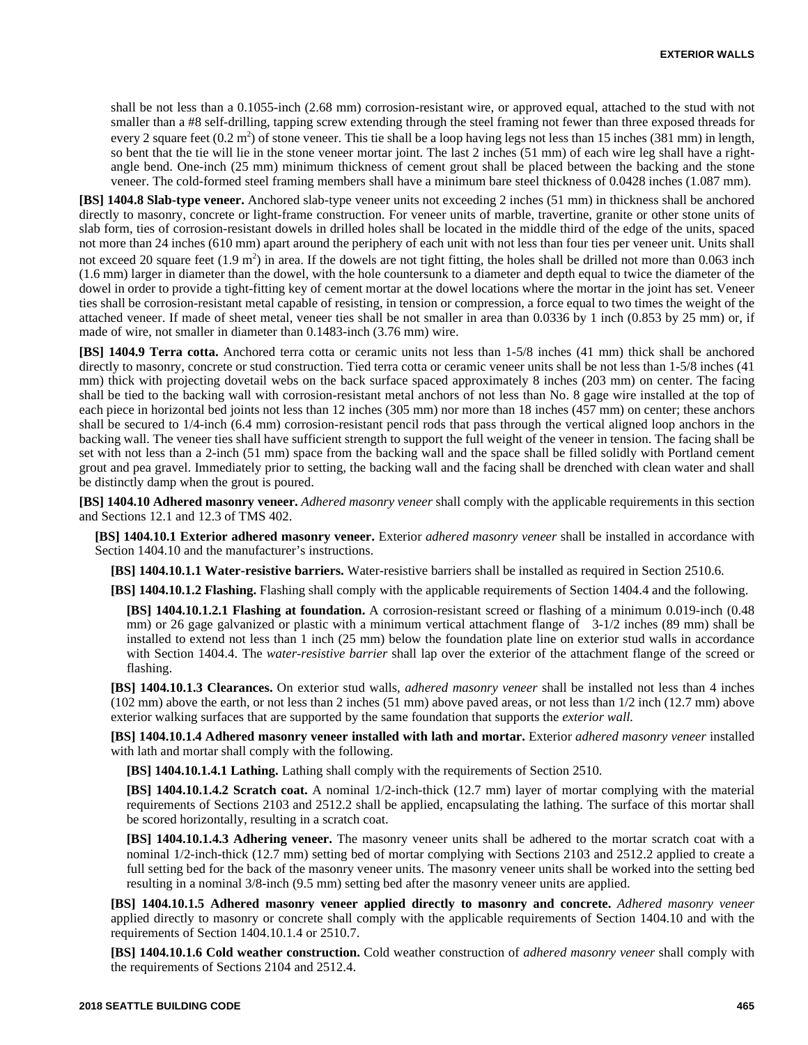shall be not less than a 0.1055-inch (2.68 mm) corrosion-resistant wire, or approved equal, attached to the stud with not smaller than a #8 self-drilling, tapping screw extending through the steel framing not fewer than three exposed threads for every 2 square feet  $(0.2 \text{ m}^2)$  of stone veneer. This tie shall be a loop having legs not less than 15 inches  $(381 \text{ mm})$  in length, so bent that the tie will lie in the stone veneer mortar joint. The last 2 inches (51 mm) of each wire leg shall have a rightangle bend. One-inch (25 mm) minimum thickness of cement grout shall be placed between the backing and the stone veneer. The cold-formed steel framing members shall have a minimum bare steel thickness of 0.0428 inches (1.087 mm).

**[BS] 1404.8 Slab-type veneer.** Anchored slab-type veneer units not exceeding 2 inches (51 mm) in thickness shall be anchored directly to masonry, concrete or light-frame construction. For veneer units of marble, travertine, granite or other stone units of slab form, ties of corrosion-resistant dowels in drilled holes shall be located in the middle third of the edge of the units, spaced not more than 24 inches (610 mm) apart around the periphery of each unit with not less than four ties per veneer unit. Units shall not exceed 20 square feet  $(1.9 \text{ m}^2)$  in area. If the dowels are not tight fitting, the holes shall be drilled not more than 0.063 inch (1.6 mm) larger in diameter than the dowel, with the hole countersunk to a diameter and depth equal to twice the diameter of the dowel in order to provide a tight-fitting key of cement mortar at the dowel locations where the mortar in the joint has set. Veneer ties shall be corrosion-resistant metal capable of resisting, in tension or compression, a force equal to two times the weight of the attached veneer. If made of sheet metal, veneer ties shall be not smaller in area than 0.0336 by 1 inch (0.853 by 25 mm) or, if made of wire, not smaller in diameter than 0.1483-inch (3.76 mm) wire.

**[BS] 1404.9 Terra cotta.** Anchored terra cotta or ceramic units not less than 1-5/8 inches (41 mm) thick shall be anchored directly to masonry, concrete or stud construction. Tied terra cotta or ceramic veneer units shall be not less than 1-5/8 inches (41 mm) thick with projecting dovetail webs on the back surface spaced approximately 8 inches (203 mm) on center. The facing shall be tied to the backing wall with corrosion-resistant metal anchors of not less than No. 8 gage wire installed at the top of each piece in horizontal bed joints not less than 12 inches (305 mm) nor more than 18 inches (457 mm) on center; these anchors shall be secured to 1/4-inch (6.4 mm) corrosion-resistant pencil rods that pass through the vertical aligned loop anchors in the backing wall. The veneer ties shall have sufficient strength to support the full weight of the veneer in tension. The facing shall be set with not less than a 2-inch (51 mm) space from the backing wall and the space shall be filled solidly with Portland cement grout and pea gravel. Immediately prior to setting, the backing wall and the facing shall be drenched with clean water and shall be distinctly damp when the grout is poured.

**[BS] 1404.10 Adhered masonry veneer.** *Adhered masonry veneer* shall comply with the applicable requirements in this section and Sections 12.1 and 12.3 of TMS 402.

**[BS] 1404.10.1 Exterior adhered masonry veneer.** Exterior *adhered masonry veneer* shall be installed in accordance with Section 1404.10 and the manufacturer's instructions.

**[BS] 1404.10.1.1 Water-resistive barriers.** Water-resistive barriers shall be installed as required in Section 2510.6.

**[BS] 1404.10.1.2 Flashing.** Flashing shall comply with the applicable requirements of Section 1404.4 and the following.

**[BS] 1404.10.1.2.1 Flashing at foundation.** A corrosion-resistant screed or flashing of a minimum 0.019-inch (0.48 mm) or 26 gage galvanized or plastic with a minimum vertical attachment flange of 3-1/2 inches (89 mm) shall be installed to extend not less than 1 inch (25 mm) below the foundation plate line on exterior stud walls in accordance with Section 1404.4. The *water-resistive barrier* shall lap over the exterior of the attachment flange of the screed or flashing.

**[BS] 1404.10.1.3 Clearances.** On exterior stud walls, *adhered masonry veneer* shall be installed not less than 4 inches (102 mm) above the earth, or not less than 2 inches (51 mm) above paved areas, or not less than 1/2 inch (12.7 mm) above exterior walking surfaces that are supported by the same foundation that supports the *exterior wall.*

**[BS] 1404.10.1.4 Adhered masonry veneer installed with lath and mortar.** Exterior *adhered masonry veneer* installed with lath and mortar shall comply with the following.

**[BS] 1404.10.1.4.1 Lathing.** Lathing shall comply with the requirements of Section 2510.

**[BS] 1404.10.1.4.2 Scratch coat.** A nominal 1/2-inch-thick (12.7 mm) layer of mortar complying with the material requirements of Sections 2103 and 2512.2 shall be applied, encapsulating the lathing. The surface of this mortar shall be scored horizontally, resulting in a scratch coat.

**[BS] 1404.10.1.4.3 Adhering veneer.** The masonry veneer units shall be adhered to the mortar scratch coat with a nominal 1/2-inch-thick (12.7 mm) setting bed of mortar complying with Sections 2103 and 2512.2 applied to create a full setting bed for the back of the masonry veneer units. The masonry veneer units shall be worked into the setting bed resulting in a nominal 3/8-inch (9.5 mm) setting bed after the masonry veneer units are applied.

**[BS] 1404.10.1.5 Adhered masonry veneer applied directly to masonry and concrete.** *Adhered masonry veneer* applied directly to masonry or concrete shall comply with the applicable requirements of Section 1404.10 and with the requirements of Section 1404.10.1.4 or 2510.7.

**[BS] 1404.10.1.6 Cold weather construction.** Cold weather construction of *adhered masonry veneer* shall comply with the requirements of Sections 2104 and 2512.4.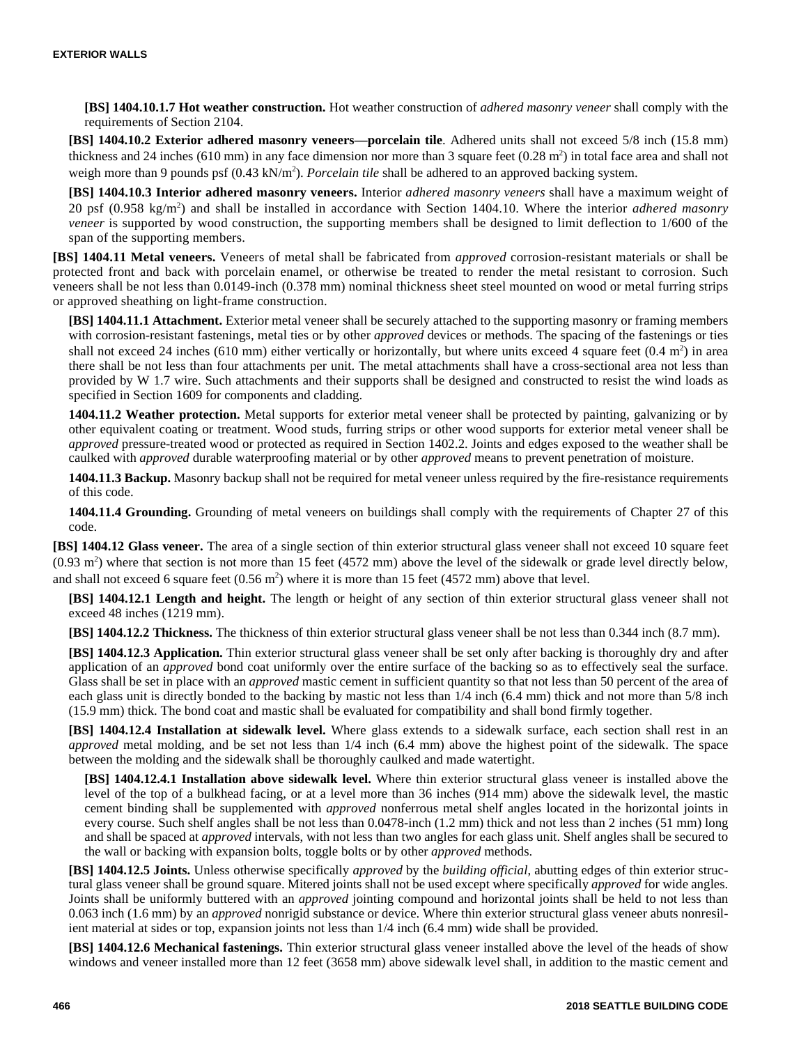**[BS] 1404.10.1.7 Hot weather construction.** Hot weather construction of *adhered masonry veneer* shall comply with the requirements of Section 2104.

**[BS] 1404.10.2 Exterior adhered masonry veneers—porcelain tile**. Adhered units shall not exceed 5/8 inch (15.8 mm) thickness and 24 inches (610 mm) in any face dimension nor more than 3 square feet  $(0.28 \text{ m}^2)$  in total face area and shall not weigh more than 9 pounds psf (0.43 kN/m<sup>2</sup>). *Porcelain tile* shall be adhered to an approved backing system.

**[BS] 1404.10.3 Interior adhered masonry veneers.** Interior *adhered masonry veneers* shall have a maximum weight of 20 psf (0.958 kg/m<sup>2</sup> ) and shall be installed in accordance with Section 1404.10. Where the interior *adhered masonry veneer* is supported by wood construction, the supporting members shall be designed to limit deflection to 1/600 of the span of the supporting members.

**[BS] 1404.11 Metal veneers.** Veneers of metal shall be fabricated from *approved* corrosion-resistant materials or shall be protected front and back with porcelain enamel, or otherwise be treated to render the metal resistant to corrosion. Such veneers shall be not less than 0.0149-inch (0.378 mm) nominal thickness sheet steel mounted on wood or metal furring strips or approved sheathing on light-frame construction.

**[BS] 1404.11.1 Attachment.** Exterior metal veneer shall be securely attached to the supporting masonry or framing members with corrosion-resistant fastenings, metal ties or by other *approved* devices or methods. The spacing of the fastenings or ties shall not exceed 24 inches (610 mm) either vertically or horizontally, but where units exceed 4 square feet  $(0.4 \text{ m}^2)$  in area there shall be not less than four attachments per unit. The metal attachments shall have a cross-sectional area not less than provided by W 1.7 wire. Such attachments and their supports shall be designed and constructed to resist the wind loads as specified in Section 1609 for components and cladding.

**1404.11.2 Weather protection.** Metal supports for exterior metal veneer shall be protected by painting, galvanizing or by other equivalent coating or treatment. Wood studs, furring strips or other wood supports for exterior metal veneer shall be *approved* pressure-treated wood or protected as required in Section 1402.2. Joints and edges exposed to the weather shall be caulked with *approved* durable waterproofing material or by other *approved* means to prevent penetration of moisture.

**1404.11.3 Backup.** Masonry backup shall not be required for metal veneer unless required by the fire-resistance requirements of this code.

**1404.11.4 Grounding.** Grounding of metal veneers on buildings shall comply with the requirements of Chapter 27 of this code.

**[BS] 1404.12 Glass veneer.** The area of a single section of thin exterior structural glass veneer shall not exceed 10 square feet  $(0.93 \text{ m}^2)$  where that section is not more than 15 feet (4572 mm) above the level of the sidewalk or grade level directly below, and shall not exceed 6 square feet  $(0.56 \text{ m}^2)$  where it is more than 15 feet (4572 mm) above that level.

**[BS] 1404.12.1 Length and height.** The length or height of any section of thin exterior structural glass veneer shall not exceed 48 inches (1219 mm).

**[BS] 1404.12.2 Thickness.** The thickness of thin exterior structural glass veneer shall be not less than 0.344 inch (8.7 mm).

**[BS] 1404.12.3 Application.** Thin exterior structural glass veneer shall be set only after backing is thoroughly dry and after application of an *approved* bond coat uniformly over the entire surface of the backing so as to effectively seal the surface. Glass shall be set in place with an *approved* mastic cement in sufficient quantity so that not less than 50 percent of the area of each glass unit is directly bonded to the backing by mastic not less than 1/4 inch (6.4 mm) thick and not more than 5/8 inch (15.9 mm) thick. The bond coat and mastic shall be evaluated for compatibility and shall bond firmly together.

**[BS] 1404.12.4 Installation at sidewalk level.** Where glass extends to a sidewalk surface, each section shall rest in an *approved* metal molding, and be set not less than 1/4 inch (6.4 mm) above the highest point of the sidewalk. The space between the molding and the sidewalk shall be thoroughly caulked and made watertight.

**[BS] 1404.12.4.1 Installation above sidewalk level.** Where thin exterior structural glass veneer is installed above the level of the top of a bulkhead facing, or at a level more than 36 inches (914 mm) above the sidewalk level, the mastic cement binding shall be supplemented with *approved* nonferrous metal shelf angles located in the horizontal joints in every course. Such shelf angles shall be not less than 0.0478-inch (1.2 mm) thick and not less than 2 inches (51 mm) long and shall be spaced at *approved* intervals, with not less than two angles for each glass unit. Shelf angles shall be secured to the wall or backing with expansion bolts, toggle bolts or by other *approved* methods.

**[BS] 1404.12.5 Joints.** Unless otherwise specifically *approved* by the *building official*, abutting edges of thin exterior structural glass veneer shall be ground square. Mitered joints shall not be used except where specifically *approved* for wide angles. Joints shall be uniformly buttered with an *approved* jointing compound and horizontal joints shall be held to not less than 0.063 inch (1.6 mm) by an *approved* nonrigid substance or device. Where thin exterior structural glass veneer abuts nonresilient material at sides or top, expansion joints not less than 1/4 inch (6.4 mm) wide shall be provided.

**[BS] 1404.12.6 Mechanical fastenings.** Thin exterior structural glass veneer installed above the level of the heads of show windows and veneer installed more than 12 feet (3658 mm) above sidewalk level shall, in addition to the mastic cement and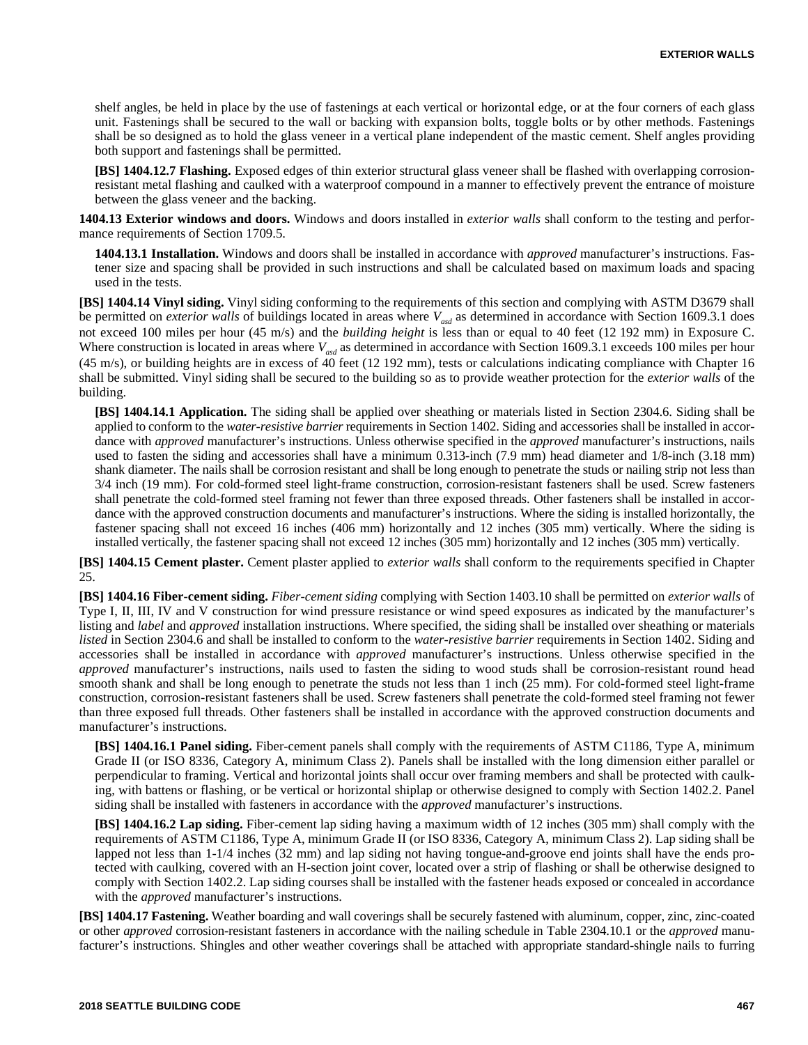shelf angles, be held in place by the use of fastenings at each vertical or horizontal edge, or at the four corners of each glass unit. Fastenings shall be secured to the wall or backing with expansion bolts, toggle bolts or by other methods. Fastenings shall be so designed as to hold the glass veneer in a vertical plane independent of the mastic cement. Shelf angles providing both support and fastenings shall be permitted.

**[BS] 1404.12.7 Flashing.** Exposed edges of thin exterior structural glass veneer shall be flashed with overlapping corrosionresistant metal flashing and caulked with a waterproof compound in a manner to effectively prevent the entrance of moisture between the glass veneer and the backing.

**1404.13 Exterior windows and doors.** Windows and doors installed in *exterior walls* shall conform to the testing and performance requirements of Section 1709.5.

**1404.13.1 Installation.** Windows and doors shall be installed in accordance with *approved* manufacturer's instructions. Fastener size and spacing shall be provided in such instructions and shall be calculated based on maximum loads and spacing used in the tests.

**[BS] 1404.14 Vinyl siding.** Vinyl siding conforming to the requirements of this section and complying with ASTM D3679 shall be permitted on *exterior walls* of buildings located in areas where  $V_{\text{axd}}$  as determined in accordance with Section 1609.3.1 does not exceed 100 miles per hour (45 m/s) and the *building height* is less than or equal to 40 feet (12 192 mm) in Exposure C. Where construction is located in areas where  $V_{ad}$  as determined in accordance with Section 1609.3.1 exceeds 100 miles per hour (45 m/s), or building heights are in excess of 40 feet (12 192 mm), tests or calculations indicating compliance with Chapter 16 shall be submitted. Vinyl siding shall be secured to the building so as to provide weather protection for the *exterior walls* of the building.

**[BS] 1404.14.1 Application.** The siding shall be applied over sheathing or materials listed in Section 2304.6. Siding shall be applied to conform to the *water-resistive barrier* requirements in Section 1402. Siding and accessories shall be installed in accordance with *approved* manufacturer's instructions. Unless otherwise specified in the *approved* manufacturer's instructions, nails used to fasten the siding and accessories shall have a minimum 0.313-inch (7.9 mm) head diameter and 1/8-inch (3.18 mm) shank diameter. The nails shall be corrosion resistant and shall be long enough to penetrate the studs or nailing strip not less than 3/4 inch (19 mm). For cold-formed steel light-frame construction, corrosion-resistant fasteners shall be used. Screw fasteners shall penetrate the cold-formed steel framing not fewer than three exposed threads. Other fasteners shall be installed in accordance with the approved construction documents and manufacturer's instructions. Where the siding is installed horizontally, the fastener spacing shall not exceed 16 inches (406 mm) horizontally and 12 inches (305 mm) vertically. Where the siding is installed vertically, the fastener spacing shall not exceed 12 inches (305 mm) horizontally and 12 inches (305 mm) vertically.

**[BS] 1404.15 Cement plaster.** Cement plaster applied to *exterior walls* shall conform to the requirements specified in Chapter 25.

**[BS] 1404.16 Fiber-cement siding.** *Fiber-cement siding* complying with Section 1403.10 shall be permitted on *exterior walls* of Type I, II, III, IV and V construction for wind pressure resistance or wind speed exposures as indicated by the manufacturer's listing and *label* and *approved* installation instructions. Where specified, the siding shall be installed over sheathing or materials *listed* in Section 2304.6 and shall be installed to conform to the *water-resistive barrier* requirements in Section 1402. Siding and accessories shall be installed in accordance with *approved* manufacturer's instructions. Unless otherwise specified in the *approved* manufacturer's instructions, nails used to fasten the siding to wood studs shall be corrosion-resistant round head smooth shank and shall be long enough to penetrate the studs not less than 1 inch (25 mm). For cold-formed steel light-frame construction, corrosion-resistant fasteners shall be used. Screw fasteners shall penetrate the cold-formed steel framing not fewer than three exposed full threads. Other fasteners shall be installed in accordance with the approved construction documents and manufacturer's instructions.

**[BS] 1404.16.1 Panel siding.** Fiber-cement panels shall comply with the requirements of ASTM C1186, Type A, minimum Grade II (or ISO 8336, Category A, minimum Class 2). Panels shall be installed with the long dimension either parallel or perpendicular to framing. Vertical and horizontal joints shall occur over framing members and shall be protected with caulking, with battens or flashing, or be vertical or horizontal shiplap or otherwise designed to comply with Section 1402.2. Panel siding shall be installed with fasteners in accordance with the *approved* manufacturer's instructions.

**[BS] 1404.16.2 Lap siding.** Fiber-cement lap siding having a maximum width of 12 inches (305 mm) shall comply with the requirements of ASTM C1186, Type A, minimum Grade II (or ISO 8336, Category A, minimum Class 2). Lap siding shall be lapped not less than 1-1/4 inches (32 mm) and lap siding not having tongue-and-groove end joints shall have the ends protected with caulking, covered with an H-section joint cover, located over a strip of flashing or shall be otherwise designed to comply with Section 1402.2. Lap siding courses shall be installed with the fastener heads exposed or concealed in accordance with the *approved* manufacturer's instructions.

**[BS] 1404.17 Fastening.** Weather boarding and wall coverings shall be securely fastened with aluminum, copper, zinc, zinc-coated or other *approved* corrosion-resistant fasteners in accordance with the nailing schedule in Table 2304.10.1 or the *approved* manufacturer's instructions. Shingles and other weather coverings shall be attached with appropriate standard-shingle nails to furring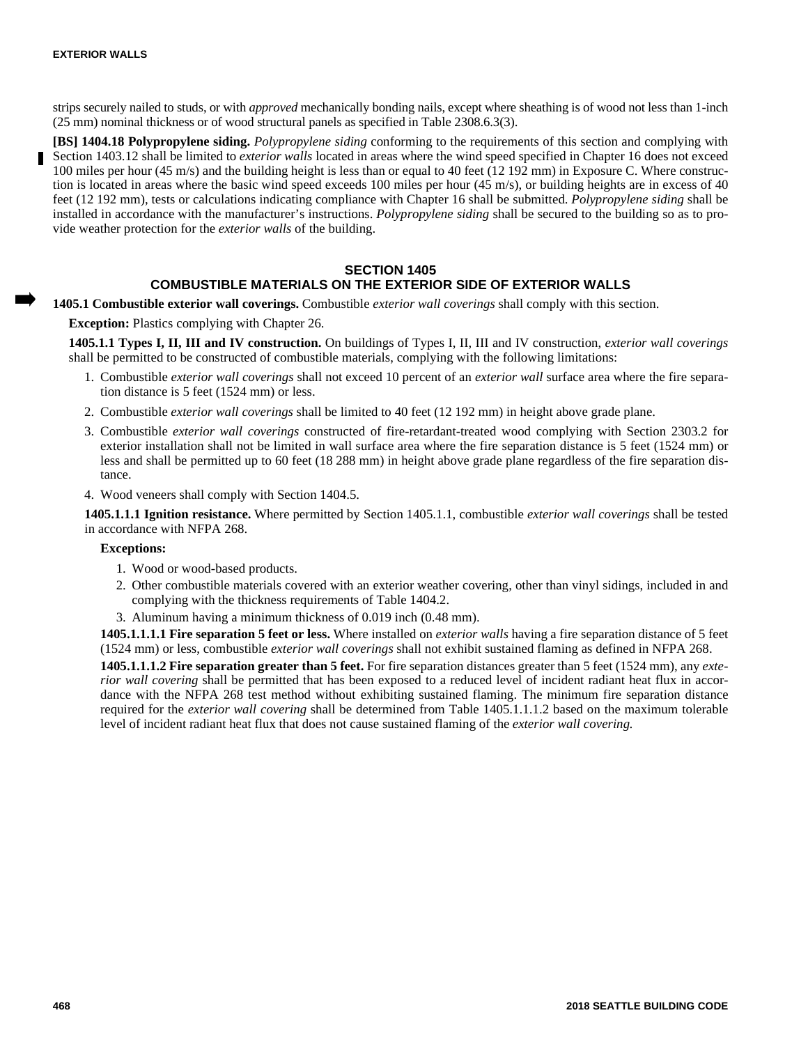strips securely nailed to studs, or with *approved* mechanically bonding nails, except where sheathing is of wood not less than 1-inch (25 mm) nominal thickness or of wood structural panels as specified in Table 2308.6.3(3).

**[BS] 1404.18 Polypropylene siding.** *Polypropylene siding* conforming to the requirements of this section and complying with Section 1403.12 shall be limited to *exterior walls* located in areas where the wind speed specified in Chapter 16 does not exceed 100 miles per hour (45 m/s) and the building height is less than or equal to 40 feet (12 192 mm) in Exposure C. Where construction is located in areas where the basic wind speed exceeds 100 miles per hour (45 m/s), or building heights are in excess of 40 feet (12 192 mm), tests or calculations indicating compliance with Chapter 16 shall be submitted. *Polypropylene siding* shall be installed in accordance with the manufacturer's instructions. *Polypropylene siding* shall be secured to the building so as to provide weather protection for the *exterior walls* of the building.

# **SECTION 1405 COMBUSTIBLE MATERIALS ON THE EXTERIOR SIDE OF EXTERIOR WALLS**

**1405.1 Combustible exterior wall coverings.** Combustible *exterior wall coverings* shall comply with this section.

**Exception:** Plastics complying with Chapter 26.

**1405.1.1 Types I, II, III and IV construction.** On buildings of Types I, II, III and IV construction, *exterior wall coverings* shall be permitted to be constructed of combustible materials, complying with the following limitations:

- 1. Combustible *exterior wall coverings* shall not exceed 10 percent of an *exterior wall* surface area where the fire separation distance is 5 feet (1524 mm) or less.
- 2. Combustible *exterior wall coverings* shall be limited to 40 feet (12 192 mm) in height above grade plane.
- 3. Combustible *exterior wall coverings* constructed of fire-retardant-treated wood complying with Section 2303.2 for exterior installation shall not be limited in wall surface area where the fire separation distance is 5 feet (1524 mm) or less and shall be permitted up to 60 feet (18 288 mm) in height above grade plane regardless of the fire separation distance.
- 4. Wood veneers shall comply with Section 1404.5.

**1405.1.1.1 Ignition resistance.** Where permitted by Section 1405.1.1, combustible *exterior wall coverings* shall be tested in accordance with NFPA 268.

#### **Exceptions:**

- 1. Wood or wood-based products.
- 2. Other combustible materials covered with an exterior weather covering, other than vinyl sidings, included in and complying with the thickness requirements of Table 1404.2.
- 3. Aluminum having a minimum thickness of 0.019 inch (0.48 mm).

**1405.1.1.1.1 Fire separation 5 feet or less.** Where installed on *exterior walls* having a fire separation distance of 5 feet (1524 mm) or less, combustible *exterior wall coverings* shall not exhibit sustained flaming as defined in NFPA 268.

**1405.1.1.1.2 Fire separation greater than 5 feet.** For fire separation distances greater than 5 feet (1524 mm), any *exterior wall covering* shall be permitted that has been exposed to a reduced level of incident radiant heat flux in accordance with the NFPA 268 test method without exhibiting sustained flaming. The minimum fire separation distance required for the *exterior wall covering* shall be determined from Table 1405.1.1.1.2 based on the maximum tolerable level of incident radiant heat flux that does not cause sustained flaming of the *exterior wall covering.*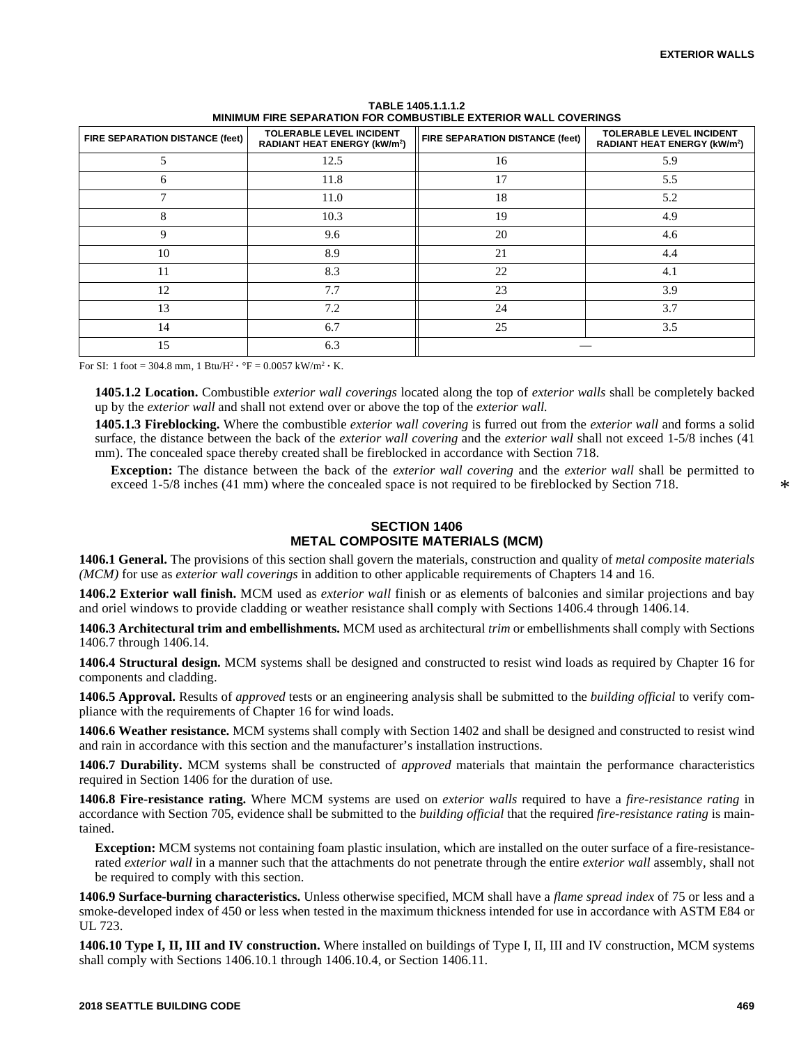| <b>TOLERABLE LEVEL INCIDENT</b><br>FIRE SEPARATION DISTANCE (feet)<br>RADIANT HEAT ENERGY (kW/m <sup>2</sup> ) |            | FIRE SEPARATION DISTANCE (feet) | <b>TOLERABLE LEVEL INCIDENT</b><br><b>RADIANT HEAT ENERGY (kW/m<sup>2</sup>)</b> |  |
|----------------------------------------------------------------------------------------------------------------|------------|---------------------------------|----------------------------------------------------------------------------------|--|
| 5                                                                                                              | 12.5<br>16 |                                 | 5.9                                                                              |  |
| 6                                                                                                              | 11.8       | 17                              | 5.5                                                                              |  |
|                                                                                                                | 11.0       | 18                              | 5.2                                                                              |  |
| 8                                                                                                              | 10.3       | 19                              | 4.9                                                                              |  |
| 9                                                                                                              | 9.6        | 20                              | 4.6                                                                              |  |
| 10                                                                                                             | 8.9        | 21                              | 4.4                                                                              |  |
| 11                                                                                                             | 8.3        | 22                              | 4.1                                                                              |  |
| 12                                                                                                             | 7.7        | 23                              | 3.9                                                                              |  |
| 13                                                                                                             | 7.2        | 24                              | 3.7                                                                              |  |
| 14                                                                                                             | 6.7        | 25                              | 3.5                                                                              |  |
| 15                                                                                                             | 6.3        |                                 |                                                                                  |  |

**TABLE 1405.1.1.1.2 MINIMUM FIRE SEPARATION FOR COMBUSTIBLE EXTERIOR WALL COVERINGS**

For SI: 1 foot = 304.8 mm, 1 Btu/ $H^2 \cdot {}^{\circ}F = 0.0057$  kW/m<sup>2</sup>  $\cdot$  K.

**1405.1.2 Location.** Combustible *exterior wall coverings* located along the top of *exterior walls* shall be completely backed up by the *exterior wall* and shall not extend over or above the top of the *exterior wall.*

**1405.1.3 Fireblocking.** Where the combustible *exterior wall covering* is furred out from the *exterior wall* and forms a solid surface, the distance between the back of the *exterior wall covering* and the *exterior wall* shall not exceed 1-5/8 inches (41 mm). The concealed space thereby created shall be fireblocked in accordance with Section 718.

**Exception:** The distance between the back of the *exterior wall covering* and the *exterior wall* shall be permitted to exceed 1-5/8 inches (41 mm) where the concealed space is not required to be fireblocked by Section 718.

# **SECTION 1406 METAL COMPOSITE MATERIALS (MCM)**

**1406.1 General.** The provisions of this section shall govern the materials, construction and quality of *metal composite materials (MCM)* for use as *exterior wall coverings* in addition to other applicable requirements of Chapters 14 and 16.

**1406.2 Exterior wall finish.** MCM used as *exterior wall* finish or as elements of balconies and similar projections and bay and oriel windows to provide cladding or weather resistance shall comply with Sections 1406.4 through 1406.14.

**1406.3 Architectural trim and embellishments.** MCM used as architectural *trim* or embellishments shall comply with Sections 1406.7 through 1406.14.

**1406.4 Structural design.** MCM systems shall be designed and constructed to resist wind loads as required by Chapter 16 for components and cladding.

**1406.5 Approval.** Results of *approved* tests or an engineering analysis shall be submitted to the *building official* to verify compliance with the requirements of Chapter 16 for wind loads.

**1406.6 Weather resistance.** MCM systems shall comply with Section 1402 and shall be designed and constructed to resist wind and rain in accordance with this section and the manufacturer's installation instructions.

**1406.7 Durability.** MCM systems shall be constructed of *approved* materials that maintain the performance characteristics required in Section 1406 for the duration of use.

**1406.8 Fire-resistance rating.** Where MCM systems are used on *exterior walls* required to have a *fire-resistance rating* in accordance with Section 705, evidence shall be submitted to the *building official* that the required *fire-resistance rating* is maintained.

**Exception:** MCM systems not containing foam plastic insulation, which are installed on the outer surface of a fire-resistancerated *exterior wall* in a manner such that the attachments do not penetrate through the entire *exterior wall* assembly, shall not be required to comply with this section.

**1406.9 Surface-burning characteristics.** Unless otherwise specified, MCM shall have a *flame spread index* of 75 or less and a smoke-developed index of 450 or less when tested in the maximum thickness intended for use in accordance with ASTM E84 or UL 723.

**1406.10 Type I, II, III and IV construction.** Where installed on buildings of Type I, II, III and IV construction, MCM systems shall comply with Sections 1406.10.1 through 1406.10.4, or Section 1406.11.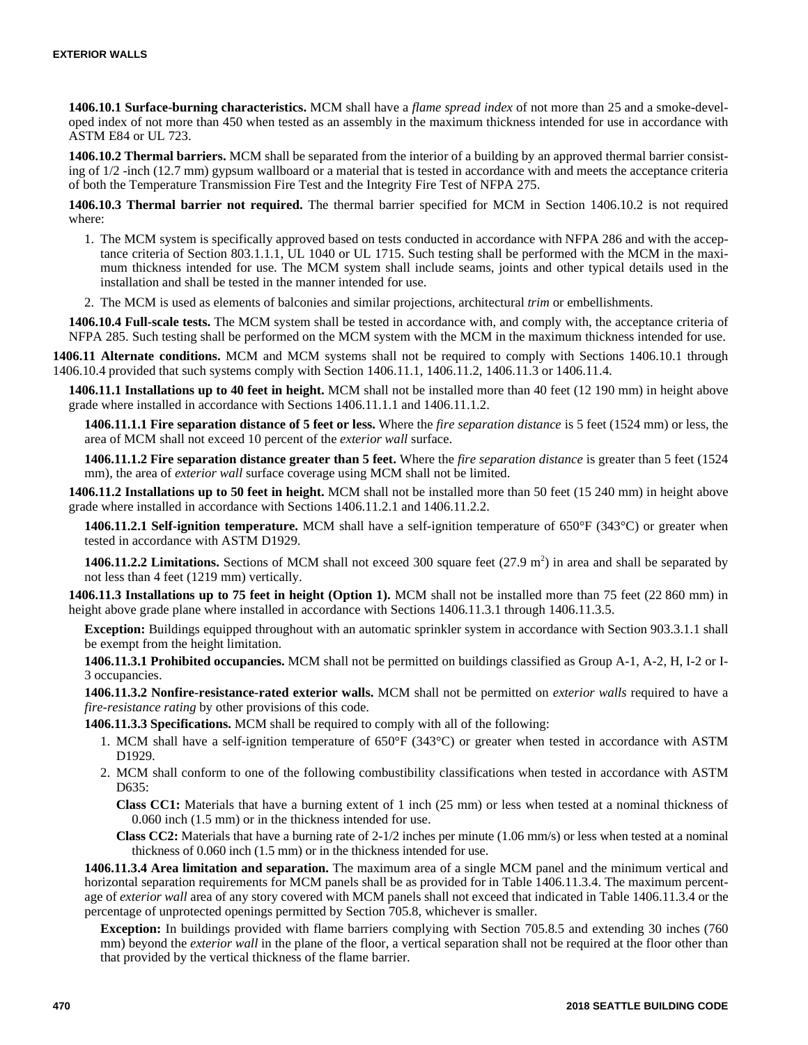**1406.10.1 Surface-burning characteristics.** MCM shall have a *flame spread index* of not more than 25 and a smoke-developed index of not more than 450 when tested as an assembly in the maximum thickness intended for use in accordance with ASTM E84 or UL 723.

**1406.10.2 Thermal barriers.** MCM shall be separated from the interior of a building by an approved thermal barrier consisting of 1/2 -inch (12.7 mm) gypsum wallboard or a material that is tested in accordance with and meets the acceptance criteria of both the Temperature Transmission Fire Test and the Integrity Fire Test of NFPA 275.

**1406.10.3 Thermal barrier not required.** The thermal barrier specified for MCM in Section 1406.10.2 is not required where:

- 1. The MCM system is specifically approved based on tests conducted in accordance with NFPA 286 and with the acceptance criteria of Section 803.1.1.1, UL 1040 or UL 1715. Such testing shall be performed with the MCM in the maximum thickness intended for use. The MCM system shall include seams, joints and other typical details used in the installation and shall be tested in the manner intended for use.
- 2. The MCM is used as elements of balconies and similar projections, architectural *trim* or embellishments.

**1406.10.4 Full-scale tests.** The MCM system shall be tested in accordance with, and comply with, the acceptance criteria of NFPA 285. Such testing shall be performed on the MCM system with the MCM in the maximum thickness intended for use.

**1406.11 Alternate conditions.** MCM and MCM systems shall not be required to comply with Sections 1406.10.1 through 1406.10.4 provided that such systems comply with Section 1406.11.1, 1406.11.2, 1406.11.3 or 1406.11.4.

**1406.11.1 Installations up to 40 feet in height.** MCM shall not be installed more than 40 feet (12 190 mm) in height above grade where installed in accordance with Sections 1406.11.1.1 and 1406.11.1.2.

**1406.11.1.1 Fire separation distance of 5 feet or less.** Where the *fire separation distance* is 5 feet (1524 mm) or less, the area of MCM shall not exceed 10 percent of the *exterior wall* surface.

**1406.11.1.2 Fire separation distance greater than 5 feet.** Where the *fire separation distance* is greater than 5 feet (1524 mm), the area of *exterior wall* surface coverage using MCM shall not be limited.

**1406.11.2 Installations up to 50 feet in height.** MCM shall not be installed more than 50 feet (15 240 mm) in height above grade where installed in accordance with Sections 1406.11.2.1 and 1406.11.2.2.

**1406.11.2.1 Self-ignition temperature.** MCM shall have a self-ignition temperature of 650°F (343°C) or greater when tested in accordance with ASTM D1929.

1406.11.2.2 Limitations. Sections of MCM shall not exceed 300 square feet  $(27.9 \text{ m}^2)$  in area and shall be separated by not less than 4 feet (1219 mm) vertically.

**1406.11.3 Installations up to 75 feet in height (Option 1).** MCM shall not be installed more than 75 feet (22 860 mm) in height above grade plane where installed in accordance with Sections 1406.11.3.1 through 1406.11.3.5.

**Exception:** Buildings equipped throughout with an automatic sprinkler system in accordance with Section 903.3.1.1 shall be exempt from the height limitation.

**1406.11.3.1 Prohibited occupancies.** MCM shall not be permitted on buildings classified as Group A-1, A-2, H, I-2 or I-3 occupancies.

**1406.11.3.2 Nonfire-resistance-rated exterior walls.** MCM shall not be permitted on *exterior walls* required to have a *fire-resistance rating* by other provisions of this code.

**1406.11.3.3 Specifications.** MCM shall be required to comply with all of the following:

- 1. MCM shall have a self-ignition temperature of 650°F (343°C) or greater when tested in accordance with ASTM D1929.
- 2. MCM shall conform to one of the following combustibility classifications when tested in accordance with ASTM D635:

**Class CC1:** Materials that have a burning extent of 1 inch (25 mm) or less when tested at a nominal thickness of 0.060 inch (1.5 mm) or in the thickness intended for use.

**Class CC2:** Materials that have a burning rate of 2-1/2 inches per minute (1.06 mm/s) or less when tested at a nominal thickness of 0.060 inch (1.5 mm) or in the thickness intended for use.

**1406.11.3.4 Area limitation and separation.** The maximum area of a single MCM panel and the minimum vertical and horizontal separation requirements for MCM panels shall be as provided for in Table 1406.11.3.4. The maximum percentage of *exterior wall* area of any story covered with MCM panels shall not exceed that indicated in Table 1406.11.3.4 or the percentage of unprotected openings permitted by Section 705.8, whichever is smaller.

**Exception:** In buildings provided with flame barriers complying with Section 705.8.5 and extending 30 inches (760 mm) beyond the *exterior wall* in the plane of the floor, a vertical separation shall not be required at the floor other than that provided by the vertical thickness of the flame barrier.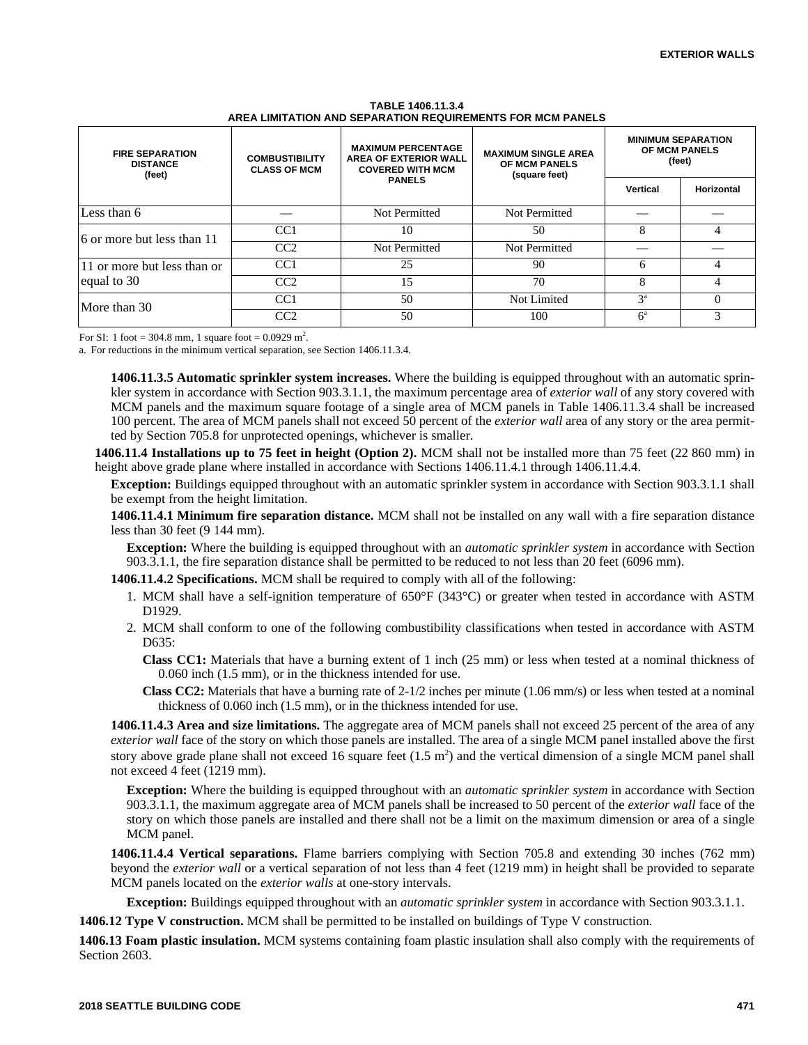| <b>FIRE SEPARATION</b><br><b>DISTANCE</b><br>(feet) | <b>COMBUSTIBILITY</b><br><b>CLASS OF MCM</b> | <b>MAXIMUM PERCENTAGE</b><br>AREA OF EXTERIOR WALL<br><b>COVERED WITH MCM</b><br><b>PANELS</b> | <b>MAXIMUM SINGLE AREA</b><br><b>OF MCM PANELS</b><br>(square feet) | <b>MINIMUM SEPARATION</b><br><b>OF MCM PANELS</b><br>(feet) |            |
|-----------------------------------------------------|----------------------------------------------|------------------------------------------------------------------------------------------------|---------------------------------------------------------------------|-------------------------------------------------------------|------------|
|                                                     |                                              |                                                                                                |                                                                     | Vertical                                                    | Horizontal |
| Less than 6                                         |                                              | Not Permitted                                                                                  | Not Permitted                                                       |                                                             |            |
| 16 or more but less than 11                         | CC <sub>1</sub>                              | 10                                                                                             | 50                                                                  | 8                                                           |            |
|                                                     | CC2                                          | Not Permitted                                                                                  | Not Permitted                                                       |                                                             |            |
| 11 or more but less than or<br>equal to 30          | CC <sub>1</sub>                              | 25                                                                                             | 90                                                                  | 6                                                           |            |
|                                                     | CC2                                          | 15                                                                                             | 70                                                                  | 8                                                           |            |
| More than 30                                        | CC <sub>1</sub>                              | 50                                                                                             | Not Limited                                                         | $3^a$                                                       |            |
|                                                     | CC2                                          | 50                                                                                             | 100                                                                 | $6^{\rm a}$                                                 |            |

**TABLE 1406.11.3.4 AREA LIMITATION AND SEPARATION REQUIREMENTS FOR MCM PANELS**

For SI: 1 foot = 304.8 mm, 1 square foot =  $0.0929$  m<sup>2</sup>.

a. For reductions in the minimum vertical separation, see Section 1406.11.3.4.

**1406.11.3.5 Automatic sprinkler system increases.** Where the building is equipped throughout with an automatic sprinkler system in accordance with Section 903.3.1.1, the maximum percentage area of *exterior wall* of any story covered with MCM panels and the maximum square footage of a single area of MCM panels in Table 1406.11.3.4 shall be increased 100 percent. The area of MCM panels shall not exceed 50 percent of the *exterior wall* area of any story or the area permitted by Section 705.8 for unprotected openings, whichever is smaller.

**1406.11.4 Installations up to 75 feet in height (Option 2).** MCM shall not be installed more than 75 feet (22 860 mm) in height above grade plane where installed in accordance with Sections 1406.11.4.1 through 1406.11.4.4.

**Exception:** Buildings equipped throughout with an automatic sprinkler system in accordance with Section 903.3.1.1 shall be exempt from the height limitation.

**1406.11.4.1 Minimum fire separation distance.** MCM shall not be installed on any wall with a fire separation distance less than 30 feet (9 144 mm).

**Exception:** Where the building is equipped throughout with an *automatic sprinkler system* in accordance with Section 903.3.1.1, the fire separation distance shall be permitted to be reduced to not less than 20 feet (6096 mm).

**1406.11.4.2 Specifications.** MCM shall be required to comply with all of the following:

- 1. MCM shall have a self-ignition temperature of 650°F (343°C) or greater when tested in accordance with ASTM D<sub>1929</sub>.
- 2. MCM shall conform to one of the following combustibility classifications when tested in accordance with ASTM D635:

**Class CC1:** Materials that have a burning extent of 1 inch (25 mm) or less when tested at a nominal thickness of 0.060 inch (1.5 mm), or in the thickness intended for use.

**Class CC2:** Materials that have a burning rate of 2-1/2 inches per minute (1.06 mm/s) or less when tested at a nominal thickness of 0.060 inch (1.5 mm), or in the thickness intended for use.

**1406.11.4.3 Area and size limitations.** The aggregate area of MCM panels shall not exceed 25 percent of the area of any *exterior wall* face of the story on which those panels are installed. The area of a single MCM panel installed above the first story above grade plane shall not exceed 16 square feet  $(1.5 \text{ m}^2)$  and the vertical dimension of a single MCM panel shall not exceed 4 feet (1219 mm).

**Exception:** Where the building is equipped throughout with an *automatic sprinkler system* in accordance with Section 903.3.1.1, the maximum aggregate area of MCM panels shall be increased to 50 percent of the *exterior wall* face of the story on which those panels are installed and there shall not be a limit on the maximum dimension or area of a single MCM panel.

**1406.11.4.4 Vertical separations.** Flame barriers complying with Section 705.8 and extending 30 inches (762 mm) beyond the *exterior wall* or a vertical separation of not less than 4 feet (1219 mm) in height shall be provided to separate MCM panels located on the *exterior walls* at one-story intervals.

**Exception:** Buildings equipped throughout with an *automatic sprinkler system* in accordance with Section 903.3.1.1.

**1406.12 Type V construction.** MCM shall be permitted to be installed on buildings of Type V construction.

**1406.13 Foam plastic insulation.** MCM systems containing foam plastic insulation shall also comply with the requirements of Section 2603.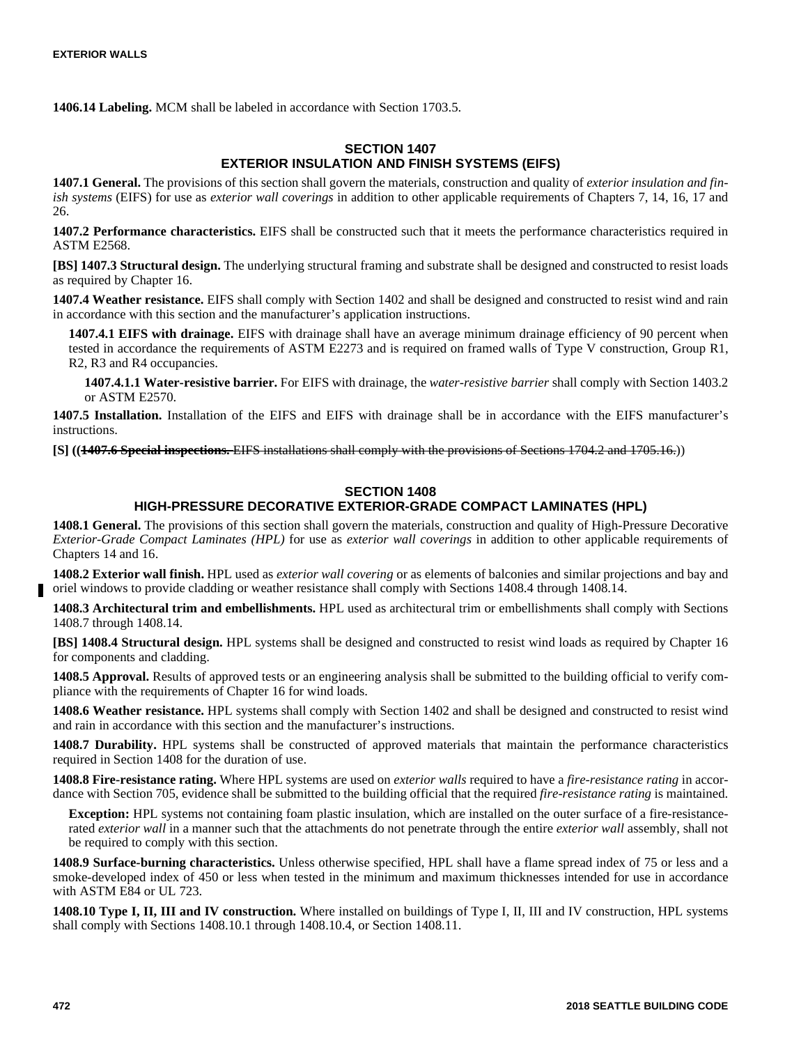**1406.14 Labeling.** MCM shall be labeled in accordance with Section 1703.5.

# **SECTION 1407 EXTERIOR INSULATION AND FINISH SYSTEMS (EIFS)**

**1407.1 General.** The provisions of this section shall govern the materials, construction and quality of *exterior insulation and finish systems* (EIFS) for use as *exterior wall coverings* in addition to other applicable requirements of Chapters 7, 14, 16, 17 and 26.

**1407.2 Performance characteristics.** EIFS shall be constructed such that it meets the performance characteristics required in ASTM E2568.

**[BS] 1407.3 Structural design.** The underlying structural framing and substrate shall be designed and constructed to resist loads as required by Chapter 16.

**1407.4 Weather resistance.** EIFS shall comply with Section 1402 and shall be designed and constructed to resist wind and rain in accordance with this section and the manufacturer's application instructions.

**1407.4.1 EIFS with drainage.** EIFS with drainage shall have an average minimum drainage efficiency of 90 percent when tested in accordance the requirements of ASTM E2273 and is required on framed walls of Type V construction, Group R1, R2, R3 and R4 occupancies.

**1407.4.1.1 Water-resistive barrier.** For EIFS with drainage, the *water-resistive barrier* shall comply with Section 1403.2 or ASTM E2570.

**1407.5 Installation.** Installation of the EIFS and EIFS with drainage shall be in accordance with the EIFS manufacturer's instructions.

**[S] ((1407.6 Special inspections.** EIFS installations shall comply with the provisions of Sections 1704.2 and 1705.16.))

# **SECTION 1408**

# **HIGH-PRESSURE DECORATIVE EXTERIOR-GRADE COMPACT LAMINATES (HPL)**

**1408.1 General.** The provisions of this section shall govern the materials, construction and quality of High-Pressure Decorative *Exterior-Grade Compact Laminates (HPL)* for use as *exterior wall coverings* in addition to other applicable requirements of Chapters 14 and 16.

**1408.2 Exterior wall finish.** HPL used as *exterior wall covering* or as elements of balconies and similar projections and bay and oriel windows to provide cladding or weather resistance shall comply with Sections 1408.4 through 1408.14.

**1408.3 Architectural trim and embellishments.** HPL used as architectural trim or embellishments shall comply with Sections 1408.7 through 1408.14.

**[BS] 1408.4 Structural design.** HPL systems shall be designed and constructed to resist wind loads as required by Chapter 16 for components and cladding.

**1408.5 Approval.** Results of approved tests or an engineering analysis shall be submitted to the building official to verify compliance with the requirements of Chapter 16 for wind loads.

**1408.6 Weather resistance.** HPL systems shall comply with Section 1402 and shall be designed and constructed to resist wind and rain in accordance with this section and the manufacturer's instructions.

**1408.7 Durability.** HPL systems shall be constructed of approved materials that maintain the performance characteristics required in Section 1408 for the duration of use.

**1408.8 Fire-resistance rating.** Where HPL systems are used on *exterior walls* required to have a *fire-resistance rating* in accordance with Section 705, evidence shall be submitted to the building official that the required *fire-resistance rating* is maintained.

**Exception:** HPL systems not containing foam plastic insulation, which are installed on the outer surface of a fire-resistancerated *exterior wall* in a manner such that the attachments do not penetrate through the entire *exterior wall* assembly, shall not be required to comply with this section.

**1408.9 Surface-burning characteristics.** Unless otherwise specified, HPL shall have a flame spread index of 75 or less and a smoke-developed index of 450 or less when tested in the minimum and maximum thicknesses intended for use in accordance with ASTM E84 or UL 723.

**1408.10 Type I, II, III and IV construction.** Where installed on buildings of Type I, II, III and IV construction, HPL systems shall comply with Sections 1408.10.1 through 1408.10.4, or Section 1408.11.